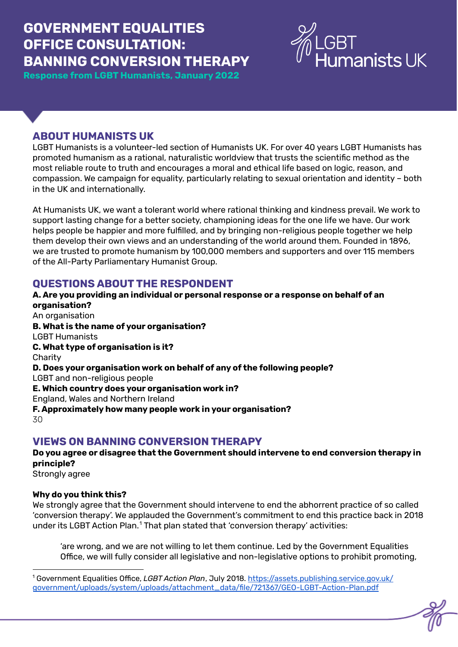# **GOVERNMENT EQUALITIES OFFICE CONSULTATION: BANNING CONVERSION THERAPY**

**Response from LGBT Humanists, January 2022**



# **ABOUT HUMANISTS UK**

LGBT Humanists is a volunteer-led section of Humanists UK. For over 40 years LGBT Humanists has promoted humanism as a rational, naturalistic worldview that trusts the scientific method as the most reliable route to truth and encourages a moral and ethical life based on logic, reason, and compassion. We campaign for equality, particularly relating to sexual orientation and identity – both in the UK and internationally.

At Humanists UK, we want a tolerant world where rational thinking and kindness prevail. We work to support lasting change for a better society, championing ideas for the one life we have. Our work helps people be happier and more fulfilled, and by bringing non-religious people together we help them develop their own views and an understanding of the world around them. Founded in 1896, we are trusted to promote humanism by 100,000 members and supporters and over 115 members of the All-Party Parliamentary Humanist Group.

## **QUESTIONS ABOUT THE RESPONDENT**

**A. Are you providing an individual or personal response or a response on behalf of an organisation?** An organisation **B. What is the name of your organisation?** LGBT Humanists **C. What type of organisation is it? Charity D. Does your organisation work on behalf of any of the following people?** LGBT and non-religious people **E. Which country does your organisation work in?** England, Wales and Northern Ireland **F. Approximately how many people work in your organisation?**  $30$ 

## **VIEWS ON BANNING CONVERSION THERAPY**

**Do you agree or disagree that the Government should intervene to end conversion therapy in principle?**

Strongly agree

#### **Why do you think this?**

We strongly agree that the Government should intervene to end the abhorrent practice of so called 'conversion therapy'. We applauded the Government's commitment to end this practice back in 2018 under its LGBT Action Plan.<sup>1</sup> That plan stated that 'conversion therapy' activities:

'are wrong, and we are not willing to let them continue. Led by the Government Equalities Office, we will fully consider all legislative and non-legislative options to prohibit promoting,

<sup>1</sup> Government Equalities Office, *LGBT Action Plan*, July 2018. [https://assets.publishing.service.gov.uk/](https://assets.publishing.service.gov.uk/government/uploads/system/uploads/attachment_data/file/721367/GEO-LGBT-Action-Plan.pdf) [government/uploads/system/uploads/attachment\\_data/file/721367/GEO-LGBT-Action-Plan.pdf](https://assets.publishing.service.gov.uk/government/uploads/system/uploads/attachment_data/file/721367/GEO-LGBT-Action-Plan.pdf)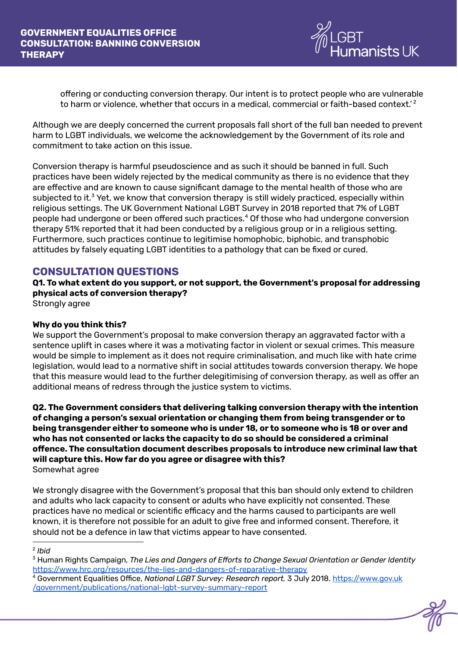

offering or conducting conversion therapy. Our intent is to protect people who are vulnerable to harm or violence, whether that occurs in a medical, commercial or faith-based context.' 2

Although we are deeply concerned the current proposals fall short of the full ban needed to prevent harm to LGBT individuals, we welcome the acknowledgement by the Government of its role and commitment to take action on this issue.

Conversion therapy is harmful pseudoscience and as such it should be banned in full. Such practices have been widely rejected by the medical community as there is no evidence that they are effective and are known to cause significant damage to the mental health of those who are subjected to it. $<sup>3</sup>$  Yet, we know that conversion therapy is still widely practiced, especially within</sup> religious settings. The UK Government National LGBT Survey in 2018 reported that 7% of LGBT people had undergone or been offered such practices.<sup>4</sup> Of those who had undergone conversion therapy 51% reported that it had been conducted by a religious group or in a religious setting. Furthermore, such practices continue to legitimise homophobic, biphobic, and transphobic attitudes by falsely equating LGBT identities to a pathology that can be fixed or cured.

# **CONSULTATION QUESTIONS**

**Q1. To what extent do you support, or not support, the Government's proposal for addressing physical acts of conversion therapy?**

Strongly agree

#### **Why do you think this?**

We support the Government's proposal to make conversion therapy an aggravated factor with a sentence uplift in cases where it was a motivating factor in violent or sexual crimes. This measure would be simple to implement as it does not require criminalisation, and much like with hate crime legislation, would lead to a normative shift in social attitudes towards conversion therapy. We hope that this measure would lead to the further delegitimising of conversion therapy, as well as offer an additional means of redress through the justice system to victims.

**Q2. The Government considers that delivering talking conversion therapy with the intention of changing a person's sexual orientation or changing them from being transgender or to being transgender either to someone who is under 18, or to someone who is 18 or over and who has not consented or lacks the capacity to do so should be considered a criminal offence. The consultation document describes proposals to introduce new criminal law that will capture this. How far do you agree or disagree with this?** Somewhat agree

We strongly disagree with the Government's proposal that this ban should only extend to children and adults who lack capacity to consent or adults who have explicitly not consented. These practices have no medical or scientific efficacy and the harms caused to participants are well known, it is therefore not possible for an adult to give free and informed consent. Therefore, it should not be a defence in law that victims appear to have consented.

#### 2 *Ibid*

<sup>3</sup> Human Rights Campaign, *The Lies and Dangers of Efforts to Change Sexual Orientation or Gender Identity* <https://www.hrc.org/resources/the-lies-and-dangers-of-reparative-therapy>

<sup>4</sup> Government Equalities Office, *National LGBT Survey: Research report,* 3 July 2018. [https://www.gov.uk](https://www.gov.uk/government/publications/national-lgbt-survey-summary-report) [/government/publications/national-lgbt-survey-summary-report](https://www.gov.uk/government/publications/national-lgbt-survey-summary-report)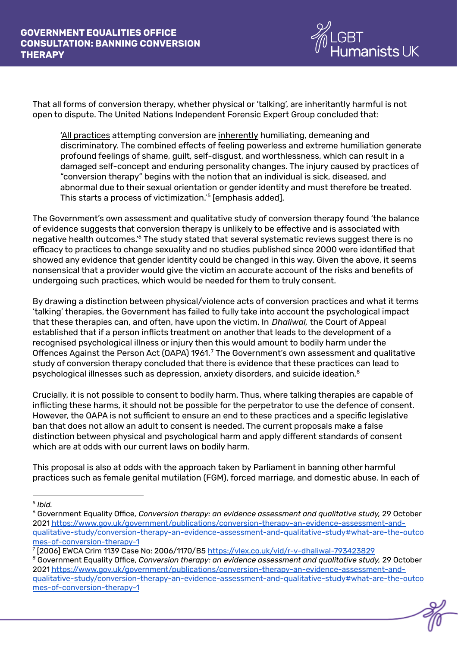

That all forms of conversion therapy, whether physical or 'talking', are inheritantly harmful is not open to dispute. The United Nations Independent Forensic Expert Group concluded that:

'All practices attempting conversion are inherently humiliating, demeaning and discriminatory. The combined effects of feeling powerless and extreme humiliation generate profound feelings of shame, guilt, self-disgust, and worthlessness, which can result in a damaged self-concept and enduring personality changes. The injury caused by practices of "conversion therapy" begins with the notion that an individual is sick, diseased, and abnormal due to their sexual orientation or gender identity and must therefore be treated. This starts a process of victimization.'<sup>5</sup> [emphasis added].

The Government's own assessment and qualitative study of conversion therapy found 'the balance of evidence suggests that conversion therapy is unlikely to be effective and is associated with negative health outcomes.'<sup>6</sup> The study stated that several systematic reviews suggest there is no efficacy to practices to change sexuality and no studies published since 2000 were identified that showed any evidence that gender identity could be changed in this way. Given the above, it seems nonsensical that a provider would give the victim an accurate account of the risks and benefits of undergoing such practices, which would be needed for them to truly consent.

By drawing a distinction between physical/violence acts of conversion practices and what it terms 'talking' therapies, the Government has failed to fully take into account the psychological impact that these therapies can, and often, have upon the victim. In *Dhaliwal,* the Court of Appeal established that if a person inflicts treatment on another that leads to the development of a recognised psychological illness or injury then this would amount to bodily harm under the Offences Against the Person Act (OAPA) 1961. $^7$  The Government's own assessment and qualitative study of conversion therapy concluded that there is evidence that these practices can lead to psychological illnesses such as depression, anxiety disorders, and suicide ideation. $^8$ 

Crucially, it is not possible to consent to bodily harm. Thus, where talking therapies are capable of inflicting these harms, it should not be possible for the perpetrator to use the defence of consent. However, the OAPA is not sufficient to ensure an end to these practices and a specific legislative ban that does not allow an adult to consent is needed. The current proposals make a false distinction between physical and psychological harm and apply different standards of consent which are at odds with our current laws on bodily harm.

This proposal is also at odds with the approach taken by Parliament in banning other harmful practices such as female genital mutilation (FGM), forced marriage, and domestic abuse. In each of

<sup>5</sup> *Ibid.*

<sup>6</sup> Government Equality Office, *Conversion therapy: an evidence assessment and qualitative study,* 29 October 2021 [https://www.gov.uk/government/publications/conversion-therapy-an-evidence-assessment-and](https://www.gov.uk/government/publications/conversion-therapy-an-evidence-assessment-and-qualitative-study/conversion-therapy-an-evidence-assessment-and-qualitative-study#what-are-the-outcomes-of-conversion-therapy-1)[qualitative-study/conversion-therapy-an-evidence-assessment-and-qualitative-study#what-are-the-outco](https://www.gov.uk/government/publications/conversion-therapy-an-evidence-assessment-and-qualitative-study/conversion-therapy-an-evidence-assessment-and-qualitative-study#what-are-the-outcomes-of-conversion-therapy-1) [mes-of-conversion-therapy-1](https://www.gov.uk/government/publications/conversion-therapy-an-evidence-assessment-and-qualitative-study/conversion-therapy-an-evidence-assessment-and-qualitative-study#what-are-the-outcomes-of-conversion-therapy-1)

<sup>&</sup>lt;sup>7</sup> [2006] EWCA Crim 1139 Case No: 2006/1170/B5 <u><https://vlex.co.uk/vid/r-v-dhaliwal-793423829></u>

*<sup>8</sup>* Government Equality Office, *Conversion therapy: an evidence assessment and qualitative study,* 29 October 2021 [https://www.gov.uk/government/publications/conversion-therapy-an-evidence-assessment-and](https://www.gov.uk/government/publications/conversion-therapy-an-evidence-assessment-and-qualitative-study/conversion-therapy-an-evidence-assessment-and-qualitative-study#what-are-the-outcomes-of-conversion-therapy-1)[qualitative-study/conversion-therapy-an-evidence-assessment-and-qualitative-study#what-are-the-outco](https://www.gov.uk/government/publications/conversion-therapy-an-evidence-assessment-and-qualitative-study/conversion-therapy-an-evidence-assessment-and-qualitative-study#what-are-the-outcomes-of-conversion-therapy-1) [mes-of-conversion-therapy-1](https://www.gov.uk/government/publications/conversion-therapy-an-evidence-assessment-and-qualitative-study/conversion-therapy-an-evidence-assessment-and-qualitative-study#what-are-the-outcomes-of-conversion-therapy-1)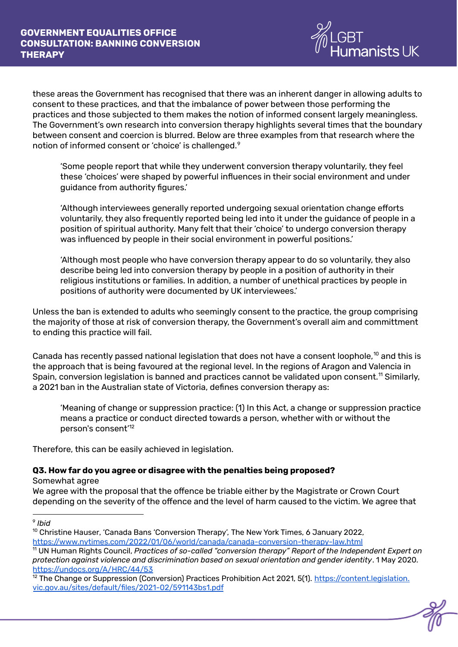

these areas the Government has recognised that there was an inherent danger in allowing adults to consent to these practices, and that the imbalance of power between those performing the practices and those subjected to them makes the notion of informed consent largely meaningless. The Government's own research into conversion therapy highlights several times that the boundary between consent and coercion is blurred. Below are three examples from that research where the notion of informed consent or 'choice' is challenged. 9

'Some people report that while they underwent conversion therapy voluntarily, they feel these 'choices' were shaped by powerful influences in their social environment and under guidance from authority figures.'

'Although interviewees generally reported undergoing sexual orientation change efforts voluntarily, they also frequently reported being led into it under the guidance of people in a position of spiritual authority. Many felt that their 'choice' to undergo conversion therapy was influenced by people in their social environment in powerful positions.'

'Although most people who have conversion therapy appear to do so voluntarily, they also describe being led into conversion therapy by people in a position of authority in their religious institutions or families. In addition, a number of unethical practices by people in positions of authority were documented by UK interviewees.'

Unless the ban is extended to adults who seemingly consent to the practice, the group comprising the majority of those at risk of conversion therapy, the Government's overall aim and committment to ending this practice will fail.

Canada has recently passed national legislation that does not have a consent loophole, $^{10}$  and this is the approach that is being favoured at the regional level. In the regions of Aragon and Valencia in Spain, conversion legislation is banned and practices cannot be validated upon consent. $^{\mathsf{11}}$  Similarly, a 2021 ban in the Australian state of Victoria, defines conversion therapy as:

'Meaning of change or suppression practice: (1) In this Act, a change or suppression practice means a practice or conduct directed towards a person, whether with or without the person's consent' 12

Therefore, this can be easily achieved in legislation.

## **Q3. How far do you agree or disagree with the penalties being proposed?**

Somewhat agree

We agree with the proposal that the offence be triable either by the Magistrate or Crown Court depending on the severity of the offence and the level of harm caused to the victim. We agree that

<sup>9</sup> *Ibid*

 $10$  [Christine](https://www.nytimes.com/by/christine-hauser) Hauser, 'Canada Bans 'Conversion Therapy', The New York Times, 6 January 2022, <https://www.nytimes.com/2022/01/06/world/canada/canada-conversion-therapy-law.html>

<sup>11</sup> UN Human Rights Council, *Practices of so-called "conversion therapy" Report of the Independent Expert on protection against violence and discrimination based on sexual orientation and gender identity*. 1 May 2020. <https://undocs.org/A/HRC/44/53>

<sup>&</sup>lt;sup>12</sup> The Change or Suppression (Conversion) Practices Prohibition Act 2021, 5(1). [https://content.legislation.](https://content.legislation) vic.gov.au/sites/default/files/2021-02/591143bs1.pdf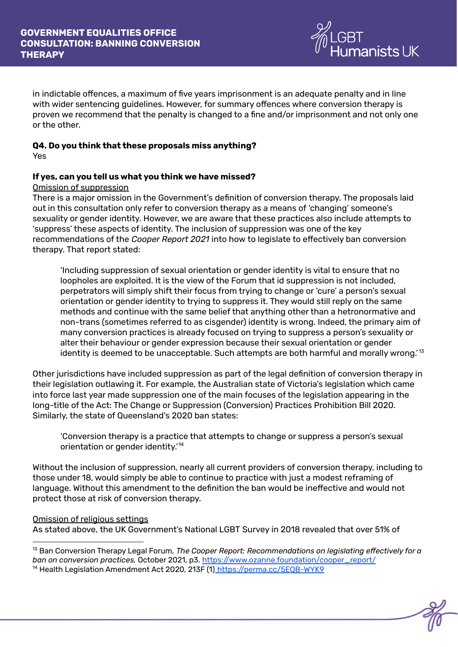

in indictable offences, a maximum of five years imprisonment is an adequate penalty and in line with wider sentencing guidelines. However, for summary offences where conversion therapy is proven we recommend that the penalty is changed to a fine and/or imprisonment and not only one or the other.

#### **Q4. Do you think that these proposals miss anything?** Yes

#### **If yes, can you tell us what you think we have missed?**

#### Omission of suppression

There is a major omission in the Government's definition of conversion therapy. The proposals laid out in this consultation only refer to conversion therapy as a means of 'changing' someone's sexuality or gender identity. However, we are aware that these practices also include attempts to 'suppress' these aspects of identity. The inclusion of suppression was one of the key recommendations of the *Cooper Report 2021* into how to legislate to effectively ban conversion therapy. That report stated:

'Including suppression of sexual orientation or gender identity is vital to ensure that no loopholes are exploited. It is the view of the Forum that id suppression is not included, perpetrators will simply shift their focus from trying to change or 'cure' a person's sexual orientation or gender identity to trying to suppress it. They would still reply on the same methods and continue with the same belief that anything other than a hetronormative and non-trans (sometimes referred to as cisgender) identity is wrong. Indeed, the primary aim of many conversion practices is already focused on trying to suppress a person's sexuality or alter their behaviour or gender expression because their sexual orientation or gender identity is deemed to be unacceptable. Such attempts are both harmful and morally wrong.' $^{\rm 13}$ 

Other jurisdictions have included suppression as part of the legal definition of conversion therapy in their legislation outlawing it. For example, the Australian state of Victoria's legislation which came into force last year made suppression one of the main focuses of the legislation appearing in the long-title of the Act: The Change or Suppression (Conversion) Practices Prohibition Bill 2020. Similarly, the state of Queensland's 2020 ban states:

'Conversion therapy is a practice that attempts to change or suppress a person's sexual orientation or gender identity.' 14

Without the inclusion of suppression, nearly all current providers of conversion therapy, including to those under 18, would simply be able to continue to practice with just a modest reframing of language. Without this amendment to the definition the ban would be ineffective and would not protect those at risk of conversion therapy.

#### Omission of religious settings

As stated above, the UK Government's National LGBT Survey in 2018 revealed that over 51% of

<sup>&</sup>lt;sup>14</sup> Health Legislation Amendment Act 2020, 213F (1) <https://perma.cc/5EQB-WYK9> <sup>13</sup> Ban Conversion Therapy Legal Forum, *The Cooper Report: Recommendations on legislating effectively for a ban on conversion practices,* October 2021, p3. [https://www.ozanne.foundation/cooper\\_report/](https://www.ozanne.foundation/cooper_report/)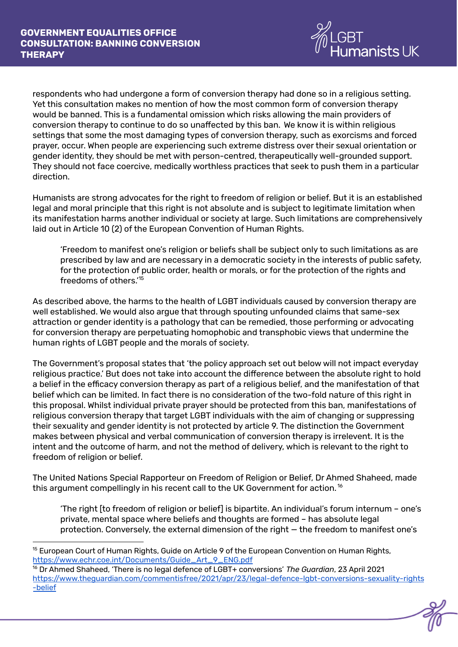

respondents who had undergone a form of conversion therapy had done so in a religious setting. Yet this consultation makes no mention of how the most common form of conversion therapy would be banned. This is a fundamental omission which risks allowing the main providers of conversion therapy to continue to do so unaffected by this ban. We know it is within religious settings that some the most damaging types of conversion therapy, such as exorcisms and forced prayer, occur. When people are experiencing such extreme distress over their sexual orientation or gender identity, they should be met with person-centred, therapeutically well-grounded support. They should not face coercive, medically worthless practices that seek to push them in a particular direction.

Humanists are strong advocates for the right to freedom of religion or belief. But it is an established legal and moral principle that this right is not absolute and is subject to legitimate limitation when its manifestation harms another individual or society at large. Such limitations are comprehensively laid out in Article 10 (2) of the European Convention of Human Rights.

'Freedom to manifest one's religion or beliefs shall be subject only to such limitations as are prescribed by law and are necessary in a democratic society in the interests of public safety, for the protection of public order, health or morals, or for the protection of the rights and freedoms of others.' 15

As described above, the harms to the health of LGBT individuals caused by conversion therapy are well established. We would also argue that through spouting unfounded claims that same-sex attraction or gender identity is a pathology that can be remedied, those performing or advocating for conversion therapy are perpetuating homophobic and transphobic views that undermine the human rights of LGBT people and the morals of society.

The Government's proposal states that 'the policy approach set out below will not impact everyday religious practice.' But does not take into account the difference between the absolute right to hold a belief in the efficacy conversion therapy as part of a religious belief, and the manifestation of that belief which can be limited. In fact there is no consideration of the two-fold nature of this right in this proposal. Whilst individual private prayer should be protected from this ban, manifestations of religious conversion therapy that target LGBT individuals with the aim of changing or suppressing their sexuality and gender identity is not protected by article 9. The distinction the Government makes between physical and verbal communication of conversion therapy is irrelevent. It is the intent and the outcome of harm, and not the method of delivery, which is relevant to the right to freedom of religion or belief.

The United Nations Special Rapporteur on Freedom of Religion or Belief, Dr Ahmed Shaheed, made this argument compellingly in his recent call to the UK Government for action.  $^{\text{16}}$ 

'The right [to freedom of religion or belief] is bipartite. An individual's forum internum – one's private, mental space where beliefs and thoughts are formed – has absolute legal protection. Conversely, the external dimension of the right — the freedom to manifest one's

 $15$  European Court of Human Rights, Guide on Article 9 of the European Convention on Human Rights, [https://www.echr.coe.int/Documents/Guide\\_Art\\_9\\_ENG.pdf](https://www.echr.coe.int/Documents/Guide_Art_9_ENG.pdf)

<sup>16</sup> Dr Ahmed Shaheed, 'There is no legal defence of LGBT+ conversions' *The Guardian*, 23 April 2021 [https://www.theguardian.com/commentisfree/2021/apr/23/legal-defence-lgbt-conversions-sexuality-rights](https://www.theguardian.com/commentisfree/2021/apr/23/legal-defence-lgbt-conversions-sexuality-rights-belief) [-belief](https://www.theguardian.com/commentisfree/2021/apr/23/legal-defence-lgbt-conversions-sexuality-rights-belief)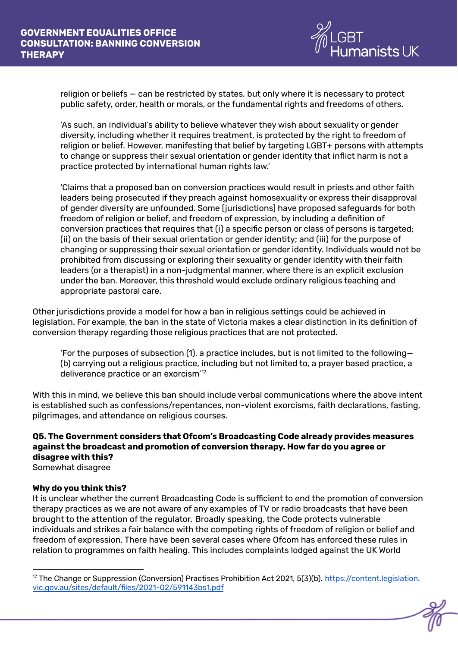

religion or beliefs — can be restricted by states, but only where it is necessary to protect public safety, order, health or morals, or the fundamental rights and freedoms of others.

'As such, an individual's ability to believe whatever they wish about sexuality or gender diversity, including whether it requires treatment, is protected by the right to freedom of religion or belief. However, manifesting that belief by targeting LGBT+ persons with attempts to change or suppress their sexual orientation or gender identity that inflict harm is not a practice protected by international human rights law.'

'Claims that a proposed ban on conversion practices would result in priests and other faith leaders being prosecuted if they preach against homosexuality or express their disapproval of gender diversity are unfounded. Some [jurisdictions] have proposed safeguards for both freedom of religion or belief, and freedom of expression, by including a definition of conversion practices that requires that (i) a specific person or class of persons is targeted; (ii) on the basis of their sexual orientation or gender identity; and (iii) for the purpose of changing or suppressing their sexual orientation or gender identity. Individuals would not be prohibited from discussing or exploring their sexuality or gender identity with their faith leaders (or a therapist) in a non-judgmental manner, where there is an explicit exclusion under the ban. Moreover, this threshold would exclude ordinary religious teaching and appropriate pastoral care.

Other jurisdictions provide a model for how a ban in religious settings could be achieved in legislation. For example, the ban in the state of Victoria makes a clear distinction in its definition of conversion therapy regarding those religious practices that are not protected.

'For the purposes of subsection (1), a practice includes, but is not limited to the following— (b) carrying out a religious practice, including but not limited to, a prayer based practice, a deliverance practice or an exorcism' 17

With this in mind, we believe this ban should include verbal communications where the above intent is established such as confessions/repentances, non-violent exorcisms, faith declarations, fasting, pilgrimages, and attendance on religious courses.

# **Q5. The Government considers that Ofcom's Broadcasting Code already provides measures against the broadcast and promotion of conversion therapy. How far do you agree or disagree with this?**

Somewhat disagree

#### **Why do you think this?**

It is unclear whether the current Broadcasting Code is sufficient to end the promotion of conversion therapy practices as we are not aware of any examples of TV or radio broadcasts that have been brought to the attention of the regulator. Broadly speaking, the Code protects vulnerable individuals and strikes a fair balance with the competing rights of freedom of religion or belief and freedom of expression. There have been several cases where Ofcom has enforced these rules in relation to programmes on faith healing. This includes complaints lodged against the UK World

<sup>&</sup>lt;sup>17</sup> The Change or Suppression (Conversion) Practises Prohibition Act 2021, 5(3)(b). <https://content.legislation>. vic.gov.au/sites/default/files/2021-02/591143bs1.pdf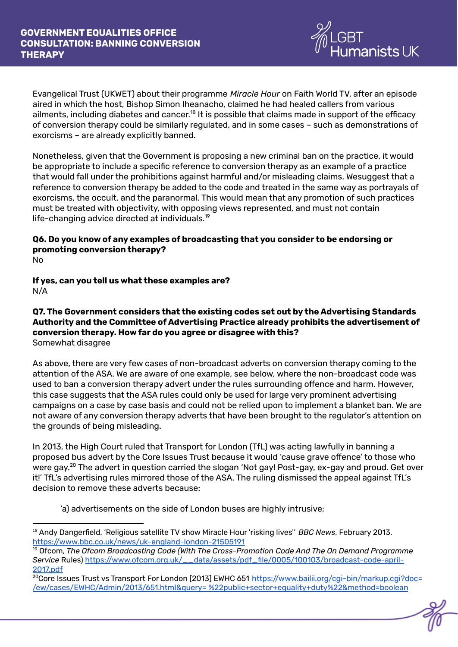

Evangelical Trust (UKWET) about their programme *Miracle Hour* on Faith World TV, after an episode aired in which the host, Bishop Simon Iheanacho, claimed he had healed callers from various ailments, including diabetes and cancer. $^{18}$  It is possible that claims made in support of the efficacy of conversion therapy could be similarly regulated, and in some cases – such as demonstrations of exorcisms – are already explicitly banned.

Nonetheless, given that the Government is proposing a new criminal ban on the practice, it would be appropriate to include a specific reference to conversion therapy as an example of a practice that would fall under the prohibitions against harmful and/or misleading claims. Wesuggest that a reference to conversion therapy be added to the code and treated in the same way as portrayals of exorcisms, the occult, and the paranormal. This would mean that any promotion of such practices must be treated with objectivity, with opposing views represented, and must not contain life-changing advice directed at individuals. 19

# **Q6. Do you know of any examples of broadcasting that you consider to be endorsing or promoting conversion therapy?**

No

**If yes, can you tell us what these examples are?** N/A

#### **Q7. The Government considers that the existing codes set out by the Advertising Standards Authority and the Committee of Advertising Practice already prohibits the advertisement of conversion therapy. How far do you agree or disagree with this?** Somewhat disagree

As above, there are very few cases of non-broadcast adverts on conversion therapy coming to the attention of the ASA. We are aware of one example, see below, where the non-broadcast code was used to ban a conversion therapy advert under the rules surrounding offence and harm. However, this case suggests that the ASA rules could only be used for large very prominent advertising campaigns on a case by case basis and could not be relied upon to implement a blanket ban. We are not aware of any conversion therapy adverts that have been brought to the regulator's attention on the grounds of being misleading.

In 2013, the High Court ruled that Transport for London (TfL) was acting lawfully in banning a proposed bus advert by the Core Issues Trust because it would 'cause grave offence' to those who were gay.<sup>20</sup> The advert in question carried the slogan 'Not gay! Post-gay, ex-gay and proud. Get over it!' TfL's advertising rules mirrored those of the ASA. The ruling dismissed the appeal against TfL's decision to remove these adverts because:

'a) advertisements on the side of London buses are highly intrusive;

<sup>18</sup> Andy Dangerfield, 'Religious satellite TV show Miracle Hour 'risking lives'' *BBC News*, February 2013. <https://www.bbc.co.uk/news/uk-england-london-21505191>

<sup>19</sup> Ofcom, *The Ofcom Broadcasting Code (With The Cross-Promotion Code And The On Demand Programme Service* Rules) [https://www.ofcom.org.uk/\\_\\_data/assets/pdf\\_file/0005/100103/broadcast-code-april-](https://www.ofcom.org.uk/__data/assets/pdf_file/0005/100103/broadcast-code-april-2017.pdf)[2017.pdf](https://www.ofcom.org.uk/__data/assets/pdf_file/0005/100103/broadcast-code-april-2017.pdf)

<sup>&</sup>lt;sup>20</sup>Core Issues Trust vs Transport For London [2013] EWHC 651 [https://www.bailii.org/cgi-bin/markup.cgi?doc=](https://www.bailii.org/cgi-bin/markup.cgi?doc=/ew/cases/EWHC/Admin/2013/651.html&query=%22public+sector+equality+duty%22&method=boolean) /ew/cases/EWHC/Admin/2013/651.html&query= [%22public+sector+equality+duty%22&method=boolean](https://www.bailii.org/cgi-bin/markup.cgi?doc=/ew/cases/EWHC/Admin/2013/651.html&query=%22public+sector+equality+duty%22&method=boolean)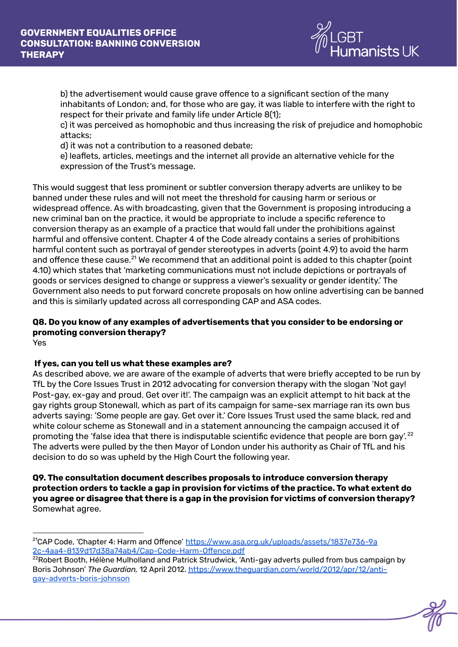

b) the advertisement would cause grave offence to a significant section of the many inhabitants of London; and, for those who are gay, it was liable to interfere with the right to respect for their private and family life under Article 8(1);

c) it was perceived as homophobic and thus increasing the risk of prejudice and homophobic attacks;

d) it was not a contribution to a reasoned debate;

e) leaflets, articles, meetings and the internet all provide an alternative vehicle for the expression of the Trust's message.

This would suggest that less prominent or subtler conversion therapy adverts are unlikey to be banned under these rules and will not meet the threshold for causing harm or serious or widespread offence. As with broadcasting, given that the Government is proposing introducing a new criminal ban on the practice, it would be appropriate to include a specific reference to conversion therapy as an example of a practice that would fall under the prohibitions against harmful and offensive content. Chapter 4 of the Code already contains a series of prohibitions harmful content such as portrayal of gender stereotypes in adverts (point 4.9) to avoid the harm and offence these cause. $^{21}$  We recommend that an additional point is added to this chapter (point 4.10) which states that 'marketing communications must not include depictions or portrayals of goods or services designed to change or suppress a viewer's sexuality or gender identity.' The Government also needs to put forward concrete proposals on how online advertising can be banned and this is similarly updated across all corresponding CAP and ASA codes.

# **Q8. Do you know of any examples of advertisements that you consider to be endorsing or promoting conversion therapy?**

Yes

## **If yes, can you tell us what these examples are?**

As described above, we are aware of the example of adverts that were briefly accepted to be run by TfL by the Core Issues Trust in 2012 advocating for conversion therapy with the slogan 'Not gay! Post-gay, ex-gay and proud. Get over it!'. The campaign was an explicit attempt to hit back at the gay rights group Stonewall, which as part of its campaign for same-sex marriage ran its own bus adverts saying: 'Some people are gay. Get over it.' Core Issues Trust used the same black, red and white colour scheme as Stonewall and in a statement announcing the campaign accused it of promoting the 'false idea that there is indisputable scientific evidence that people are born gay'.  $^{22}$ The adverts were pulled by the then Mayor of London under his authority as Chair of TfL and his decision to do so was upheld by the High Court the following year.

**Q9. The consultation document describes proposals to introduce conversion therapy protection orders to tackle a gap in provision for victims of the practice. To what extent do you agree or disagree that there is a gap in the provision for victims of conversion therapy?** Somewhat agree.

<sup>&</sup>lt;sup>21</sup>CAP Code, 'Chapter 4: Harm and Offence' [https://www.asa.org.uk/uploads/assets/1837e736-9a](https://www.asa.org.uk/uploads/assets/1837e736-9a2c-4aa4-8139d17d38a74ab4/Cap-Code-Harm-Offence.pdf) [2c-4aa4-8139d17d38a74ab4/Cap-Code-Harm-Offence.pdf](https://www.asa.org.uk/uploads/assets/1837e736-9a2c-4aa4-8139d17d38a74ab4/Cap-Code-Harm-Offence.pdf)

<sup>&</sup>lt;sup>22</sup>Robert Booth, Hélène Mulholland and Patrick Strudwick, 'Anti-gay adverts pulled from bus campaign by Boris Johnson' *The Guardian,* 12 April 2012. [https://www.theguardian.com/world/2012/apr/12/anti](https://www.theguardian.com/world/2012/apr/12/anti-gay-adverts-boris-johnson)[gay-adverts-boris-johnson](https://www.theguardian.com/world/2012/apr/12/anti-gay-adverts-boris-johnson)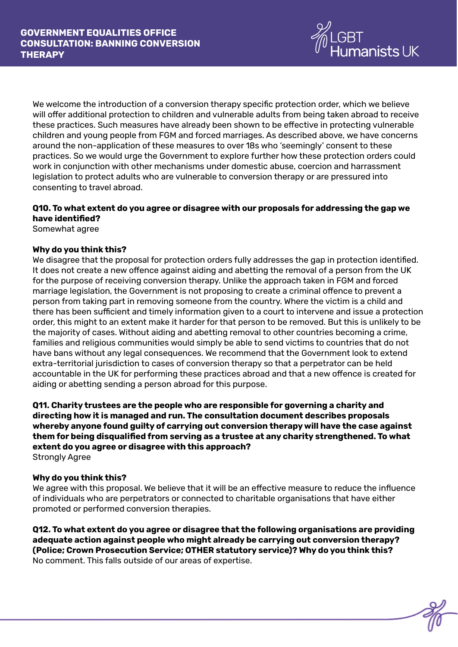

We welcome the introduction of a conversion therapy specific protection order, which we believe will offer additional protection to children and vulnerable adults from being taken abroad to receive these practices. Such measures have already been shown to be effective in protecting vulnerable children and young people from FGM and forced marriages. As described above, we have concerns around the non-application of these measures to over 18s who 'seemingly' consent to these practices. So we would urge the Government to explore further how these protection orders could work in conjunction with other mechanisms under domestic abuse, coercion and harrassment legislation to protect adults who are vulnerable to conversion therapy or are pressured into consenting to travel abroad.

## **Q10. To what extent do you agree or disagree with our proposals for addressing the gap we have identified?**

Somewhat agree

#### **Why do you think this?**

We disagree that the proposal for protection orders fully addresses the gap in protection identified. It does not create a new offence against aiding and abetting the removal of a person from the UK for the purpose of receiving conversion therapy. Unlike the approach taken in FGM and forced marriage legislation, the Government is not proposing to create a criminal offence to prevent a person from taking part in removing someone from the country. Where the victim is a child and there has been sufficient and timely information given to a court to intervene and issue a protection order, this might to an extent make it harder for that person to be removed. But this is unlikely to be the majority of cases. Without aiding and abetting removal to other countries becoming a crime, families and religious communities would simply be able to send victims to countries that do not have bans without any legal consequences. We recommend that the Government look to extend extra-territorial jurisdiction to cases of conversion therapy so that a perpetrator can be held accountable in the UK for performing these practices abroad and that a new offence is created for aiding or abetting sending a person abroad for this purpose.

**Q11. Charity trustees are the people who are responsible for governing a charity and directing how it is managed and run. The consultation document describes proposals whereby anyone found guilty of carrying out conversion therapy will have the case against them for being disqualified from serving as a trustee at any charity strengthened. To what extent do you agree or disagree with this approach?** Strongly Agree

#### **Why do you think this?**

We agree with this proposal. We believe that it will be an effective measure to reduce the influence of individuals who are perpetrators or connected to charitable organisations that have either promoted or performed conversion therapies.

**Q12. To what extent do you agree or disagree that the following organisations are providing adequate action against people who might already be carrying out conversion therapy? (Police; Crown Prosecution Service; OTHER statutory service)? Why do you think this?** No comment. This falls outside of our areas of expertise.